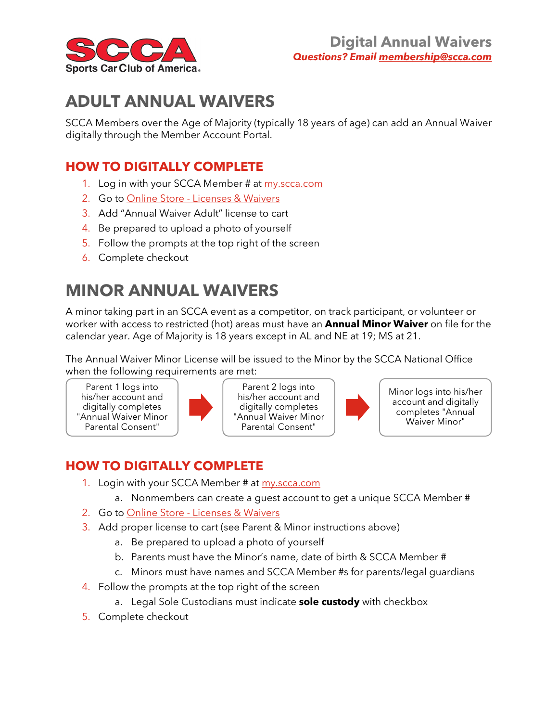

# **ADULT ANNUAL WAIVERS**

SCCA Members over the Age of Majority (typically 18 years of age) can add an Annual Waiver digitally through the Member Account Portal.

#### **HOW TO DIGITALLY COMPLETE**

- 1. Log in with your SCCA Member # at [my.scca.com](https://my.scca.com/)
- 2. Go to Online Store [Licenses & Waivers](https://my.scca.com/eweb/DynamicPage.aspx?WebCode=CSCCertificationList&pager=10)
- 3. Add "Annual Waiver Adult" license to cart
- 4. Be prepared to upload a photo of yourself
- 5. Follow the prompts at the top right of the screen
- 6. Complete checkout

## **MINOR ANNUAL WAIVERS**

A minor taking part in an SCCA event as a competitor, on track participant, or volunteer or worker with access to restricted (hot) areas must have an **Annual Minor Waiver** on file for the calendar year. Age of Majority is 18 years except in AL and NE at 19; MS at 21.

The Annual Waiver Minor License will be issued to the Minor by the SCCA National Office when the following requirements are met:

Parent 1 logs into his/her account and digitally completes "Annual Waiver Minor Parental Consent"



Parent 2 logs into his/her account and digitally completes "Annual Waiver Minor Parental Consent"



Minor logs into his/her account and digitally completes "Annual Waiver Minor"

### **HOW TO DIGITALLY COMPLETE**

- 1. Login with your SCCA Member # at [my.scca.com](https://my.scca.com/)
	- a. Nonmembers can create a guest account to get a unique SCCA Member #
- 2. Go to Online Store [Licenses & Waivers](https://my.scca.com/eweb/DynamicPage.aspx?WebCode=CSCCertificationList&pager=10)
- 3. Add proper license to cart (see Parent & Minor instructions above)
	- a. Be prepared to upload a photo of yourself
	- b. Parents must have the Minor's name, date of birth & SCCA Member #
	- c. Minors must have names and SCCA Member #s for parents/legal guardians
- 4. Follow the prompts at the top right of the screen
	- a. Legal Sole Custodians must indicate **sole custody** with checkbox
- 5. Complete checkout